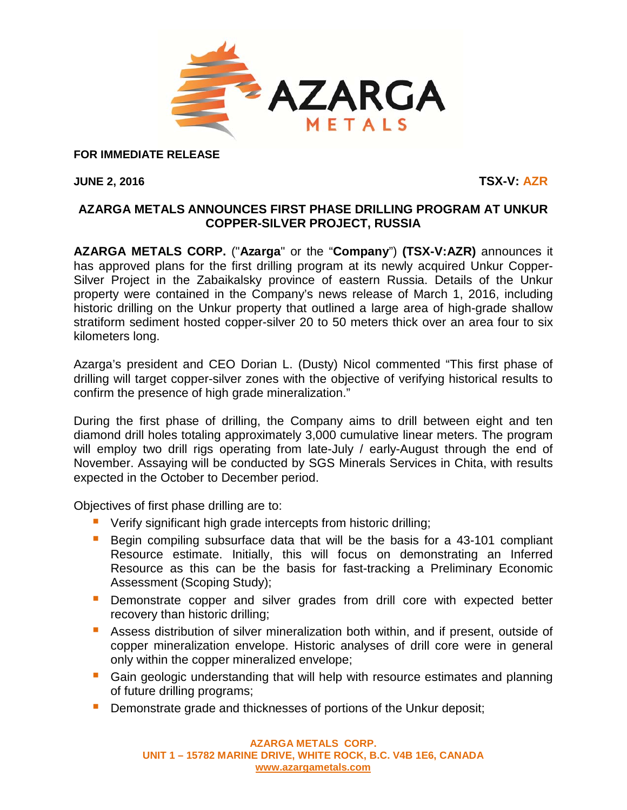

**FOR IMMEDIATE RELEASE**

**JUNE 2, 2016 TSX-V: AZR**

## **AZARGA METALS ANNOUNCES FIRST PHASE DRILLING PROGRAM AT UNKUR COPPER-SILVER PROJECT, RUSSIA**

**AZARGA METALS CORP.** ("**Azarga**" or the "**Company**") **(TSX-V:AZR)** announces it has approved plans for the first drilling program at its newly acquired Unkur Copper-Silver Project in the Zabaikalsky province of eastern Russia. Details of the Unkur property were contained in the Company's news release of March 1, 2016, including historic drilling on the Unkur property that outlined a large area of high-grade shallow stratiform sediment hosted copper-silver 20 to 50 meters thick over an area four to six kilometers long.

Azarga's president and CEO Dorian L. (Dusty) Nicol commented "This first phase of drilling will target copper-silver zones with the objective of verifying historical results to confirm the presence of high grade mineralization."

During the first phase of drilling, the Company aims to drill between eight and ten diamond drill holes totaling approximately 3,000 cumulative linear meters. The program will employ two drill rigs operating from late-July / early-August through the end of November. Assaying will be conducted by SGS Minerals Services in Chita, with results expected in the October to December period.

Objectives of first phase drilling are to:

- **U** Verify significant high grade intercepts from historic drilling;
- **Begin compiling subsurface data that will be the basis for a 43-101 compliant** Resource estimate. Initially, this will focus on demonstrating an Inferred Resource as this can be the basis for fast-tracking a Preliminary Economic Assessment (Scoping Study);
- **•** Demonstrate copper and silver grades from drill core with expected better recovery than historic drilling;
- **Assess distribution of silver mineralization both within, and if present, outside of** copper mineralization envelope. Historic analyses of drill core were in general only within the copper mineralized envelope;
- **Gain geologic understanding that will help with resource estimates and planning** of future drilling programs;
- **Demonstrate grade and thicknesses of portions of the Unkur deposit;**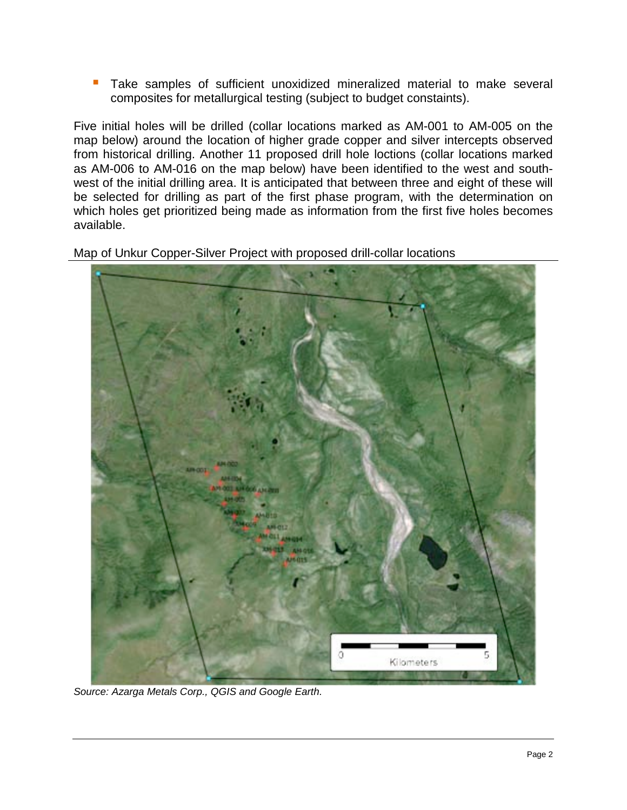**Take samples of sufficient unoxidized mineralized material to make several** composites for metallurgical testing (subject to budget constaints).

Five initial holes will be drilled (collar locations marked as AM-001 to AM-005 on the map below) around the location of higher grade copper and silver intercepts observed from historical drilling. Another 11 proposed drill hole loctions (collar locations marked as AM-006 to AM-016 on the map below) have been identified to the west and southwest of the initial drilling area. It is anticipated that between three and eight of these will be selected for drilling as part of the first phase program, with the determination on which holes get prioritized being made as information from the first five holes becomes available.

Map of Unkur Copper-Silver Project with proposed drill-collar locations



*Source: Azarga Metals Corp., QGIS and Google Earth.*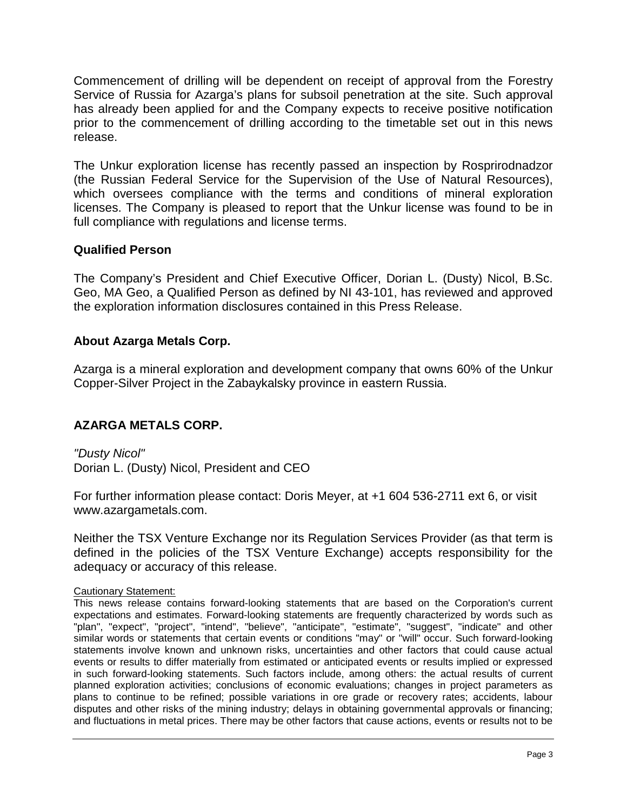Commencement of drilling will be dependent on receipt of approval from the Forestry Service of Russia for Azarga's plans for subsoil penetration at the site. Such approval has already been applied for and the Company expects to receive positive notification prior to the commencement of drilling according to the timetable set out in this news release.

The Unkur exploration license has recently passed an inspection by Rosprirodnadzor (the Russian Federal Service for the Supervision of the Use of Natural Resources), which oversees compliance with the terms and conditions of mineral exploration licenses. The Company is pleased to report that the Unkur license was found to be in full compliance with regulations and license terms.

#### **Qualified Person**

The Company's President and Chief Executive Officer, Dorian L. (Dusty) Nicol, B.Sc. Geo, MA Geo, a Qualified Person as defined by NI 43-101, has reviewed and approved the exploration information disclosures contained in this Press Release.

## **About Azarga Metals Corp.**

Azarga is a mineral exploration and development company that owns 60% of the Unkur Copper-Silver Project in the Zabaykalsky province in eastern Russia.

# **AZARGA METALS CORP.**

*"Dusty Nicol"* Dorian L. (Dusty) Nicol, President and CEO

For further information please contact: Doris Meyer, at +1 604 536-2711 ext 6, or visit www.azargametals.com.

Neither the TSX Venture Exchange nor its Regulation Services Provider (as that term is defined in the policies of the TSX Venture Exchange) accepts responsibility for the adequacy or accuracy of this release.

#### Cautionary Statement:

This news release contains forward-looking statements that are based on the Corporation's current expectations and estimates. Forward-looking statements are frequently characterized by words such as "plan", "expect", "project", "intend", "believe", "anticipate", "estimate", "suggest", "indicate" and other similar words or statements that certain events or conditions "may" or "will" occur. Such forward-looking statements involve known and unknown risks, uncertainties and other factors that could cause actual events or results to differ materially from estimated or anticipated events or results implied or expressed in such forward-looking statements. Such factors include, among others: the actual results of current planned exploration activities; conclusions of economic evaluations; changes in project parameters as plans to continue to be refined; possible variations in ore grade or recovery rates; accidents, labour disputes and other risks of the mining industry; delays in obtaining governmental approvals or financing; and fluctuations in metal prices. There may be other factors that cause actions, events or results not to be